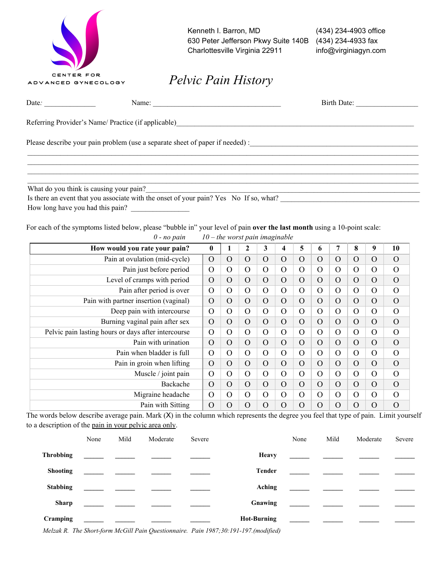| CENTER FOR          |
|---------------------|
| ADVANCED GYNECOLOGY |
|                     |

Kenneth I. Barron, MD (434) 234-4903 office 630 Peter Jefferson Pkwy Suite 140B (434) 234-4933 fax Charlottesville Virginia 22911 info@virginiagyn.com

*Pelvic Pain History*

| Date:                                   | Birth Date:<br>Name: $\qquad \qquad$                |  |
|-----------------------------------------|-----------------------------------------------------|--|
|                                         | Referring Provider's Name/ Practice (if applicable) |  |
|                                         |                                                     |  |
|                                         |                                                     |  |
| What do you think is causing your pain? |                                                     |  |

Is there an event that you associate with the onset of your pain? Yes No If so, what? How long have you had this pain?

For each of the symptoms listed below, please "bubble in" your level of pain **over the last month** using a 10-point scale:

| $0$ - no pain                                       | $10$ – the worst pain imaginable |          |                |                |          |                |                |                |                |          |                |
|-----------------------------------------------------|----------------------------------|----------|----------------|----------------|----------|----------------|----------------|----------------|----------------|----------|----------------|
| How would you rate your pain?                       | $\bf{0}$                         |          | $\mathbf{2}$   | 3              | 4        | 5              | 6              | 7              | 8              | 9        | 10             |
| Pain at ovulation (mid-cycle)                       | $\Omega$                         | $\Omega$ | $\Omega$       | $\Omega$       | $\Omega$ | $\overline{O}$ | $\Omega$       | $\overline{O}$ | $\overline{O}$ | O        | $\Omega$       |
| Pain just before period                             | $\Omega$                         | $\Omega$ | $\Omega$       | $\mathcal{O}$  | $\Omega$ | $\Omega$       | $\Omega$       | $\mathcal{O}$  | O              | O        | $\Omega$       |
| Level of cramps with period                         | $\Omega$                         | $\Omega$ | $\Omega$       | $\Omega$       | $\Omega$ | $\Omega$       | $\Omega$       | $\overline{O}$ | $\Omega$       | $\Omega$ | $\Omega$       |
| Pain after period is over                           | $\Omega$                         | $\Omega$ | $\overline{O}$ | $\Omega$       | $\Omega$ | $\Omega$       | $\Omega$       | $\mathcal{O}$  | O              | $\Omega$ | $\Omega$       |
| Pain with partner insertion (vaginal)               | $\Omega$                         | $\Omega$ | $\Omega$       | $\Omega$       | $\Omega$ | $\Omega$       | $\Omega$       | $\overline{O}$ | $\overline{O}$ | $\Omega$ | $\Omega$       |
| Deep pain with intercourse                          | $\Omega$                         | $\Omega$ | $\Omega$       | $\Omega$       | $\Omega$ | $\Omega$       | $\Omega$       | O              | O              | O        | $\Omega$       |
| Burning vaginal pain after sex                      | $\Omega$                         | $\Omega$ | $\Omega$       | $\Omega$       | $\Omega$ | $\Omega$       | $\Omega$       | $\overline{O}$ | $\overline{O}$ | O        | $\Omega$       |
| Pelvic pain lasting hours or days after intercourse | $\Omega$                         | $\Omega$ | $\Omega$       | $\Omega$       | $\Omega$ | $\Omega$       | $\mathbf O$    | $\mathcal{O}$  | $\rm{O}$       | O        | $\Omega$       |
| Pain with urination                                 | $\Omega$                         | $\Omega$ | $\Omega$       | $\Omega$       | $\Omega$ | $\Omega$       | $\Omega$       | O              | $\rm{O}$       | $\Omega$ | $\Omega$       |
| Pain when bladder is full                           | $\Omega$                         | $\Omega$ | $\overline{O}$ | $\Omega$       | $\Omega$ | $\Omega$       | $\Omega$       | $\mathcal{O}$  | O              | O        | $\Omega$       |
| Pain in groin when lifting                          | $\Omega$                         | $\Omega$ | $\Omega$       | $\Omega$       | $\Omega$ | $\Omega$       | $\Omega$       | $\overline{O}$ | $\Omega$       | $\Omega$ | $\Omega$       |
| Muscle / joint pain                                 | $\Omega$                         | $\Omega$ | $\Omega$       | $\Omega$       | $\Omega$ | $\Omega$       | $\mathbf O$    | $\mathcal{O}$  | $\overline{O}$ | O        | $\Omega$       |
| Backache                                            | $\Omega$                         | $\Omega$ | $\Omega$       | $\overline{O}$ | $\Omega$ | $\Omega$       | $\Omega$       | $\overline{O}$ | $\Omega$       | O        | $\overline{O}$ |
| Migraine headache                                   | $\Omega$                         | $\Omega$ | $\Omega$       | $\Omega$       | $\Omega$ | $\Omega$       | $\Omega$       | $\mathcal{O}$  | $\Omega$       | O        | $\Omega$       |
| Pain with Sitting                                   | $\Omega$                         | $\Omega$ | $\Omega$       | $\overline{O}$ | $\Omega$ | $\Omega$       | $\overline{O}$ | $\overline{O}$ | O              | O        | $\Omega$       |

The words below describe average pain. Mark  $(X)$  in the column which represents the degree you feel that type of pain. Limit yourself to a description of the pain in your pelvic area only.

|                  | None | Mild | Moderate                                                                                                                                                                                                                             | Severe |                    | None | Mild | Moderate                                                        | Severe |
|------------------|------|------|--------------------------------------------------------------------------------------------------------------------------------------------------------------------------------------------------------------------------------------|--------|--------------------|------|------|-----------------------------------------------------------------|--------|
| <b>Throbbing</b> |      |      | <u> 1989 - John Harry Harry Harry Harry Harry Harry Harry Harry Harry Harry Harry Harry Harry Harry Harry Harry Harry Harry Harry Harry Harry Harry Harry Harry Harry Harry Harry Harry Harry Harry Harry Harry Harry Harry Harr</u> |        | <b>Heavy</b>       |      |      |                                                                 |        |
| <b>Shooting</b>  |      |      |                                                                                                                                                                                                                                      |        | Tender             |      |      | <u> 1990 - Johann Marie Barn, martin am Franc</u>               |        |
| <b>Stabbing</b>  |      |      |                                                                                                                                                                                                                                      |        | Aching             |      |      | <u> 1989 - Johann John Stone, mars eta biztanleria (</u>        |        |
| <b>Sharp</b>     |      |      |                                                                                                                                                                                                                                      |        | Gnawing            |      |      | <u> 1980 - Johann Barbara, martin a</u>                         |        |
| Cramping         |      |      |                                                                                                                                                                                                                                      |        | <b>Hot-Burning</b> |      |      | <u> 1999 - Johann Stein, mars et al. 1999 - Anna ann an t-A</u> |        |

*Melzak R. The Short-form McGill Pain Questionnaire. Pain 1987;30:191-197.(modified)*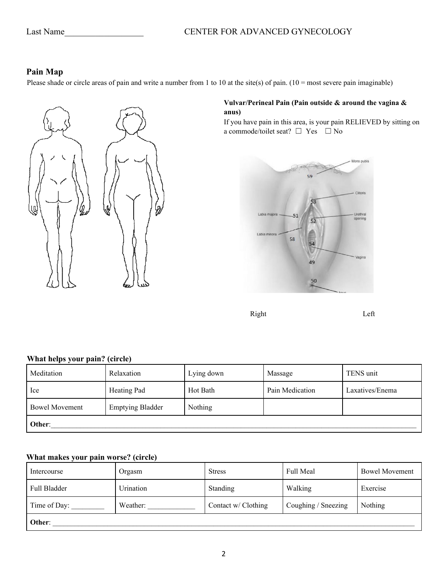# Last Name CENTER FOR ADVANCED GYNECOLOGY

## **Pain Map**

Please shade or circle areas of pain and write a number from 1 to 10 at the site(s) of pain.  $(10 = \text{most severe pain imagine})$ 



## **Vulvar/Perineal Pain (Pain outside & around the vagina & anus)**

If you have pain in this area, is your pain RELIEVED by sitting on a commode/toilet seat?  $\Box$  Yes  $\Box$  No



Right Left

# **What helps your pain? (circle)**

| Meditation            | Relaxation              | Lying down | Massage         | TENS unit       |  |  |  |  |
|-----------------------|-------------------------|------------|-----------------|-----------------|--|--|--|--|
| Ice                   | Heating Pad             | Hot Bath   | Pain Medication | Laxatives/Enema |  |  |  |  |
| <b>Bowel Movement</b> | <b>Emptying Bladder</b> | Nothing    |                 |                 |  |  |  |  |
| Other:                |                         |            |                 |                 |  |  |  |  |

## **What makes your pain worse? (circle)**

| Intercourse  | Orgasm    | <b>Stress</b>       | Full Meal           | <b>Bowel Movement</b> |
|--------------|-----------|---------------------|---------------------|-----------------------|
| Full Bladder | Urination | <b>Standing</b>     | Walking             | Exercise              |
| Time of Day: | Weather:  | Contact w/ Clothing | Coughing / Sneezing | Nothing               |
| Other:       |           |                     |                     |                       |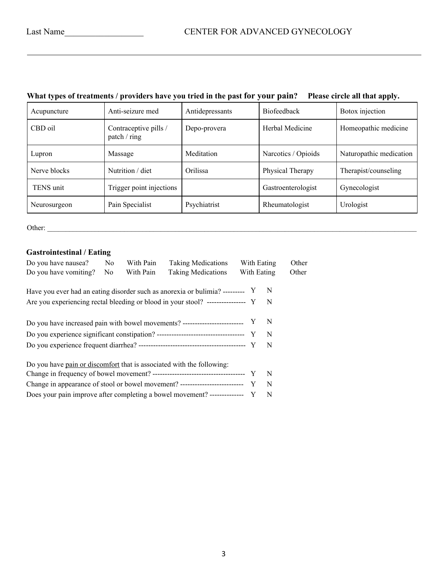|  |  | What types of treatments / providers have you tried in the past for your pain? Please circle all that apply. |
|--|--|--------------------------------------------------------------------------------------------------------------|
|  |  |                                                                                                              |

| Acupuncture  | Anti-seizure med                      | Antidepressants | <b>Biofeedback</b>  | Botox injection         |
|--------------|---------------------------------------|-----------------|---------------------|-------------------------|
| CBD oil      | Contraceptive pills /<br>patch / ring | Depo-provera    | Herbal Medicine     | Homeopathic medicine    |
| Lupron       | Massage                               | Meditation      | Narcotics / Opioids | Naturopathic medication |
| Nerve blocks | Nutrition / diet                      | Orilissa        | Physical Therapy    | Therapist/counseling    |
| TENS unit    | Trigger point injections              |                 | Gastroenterologist  | Gynecologist            |
| Neurosurgeon | Pain Specialist                       | Psychiatrist    | Rheumatologist      | Urologist               |

Other: \_\_\_\_\_\_\_\_\_\_\_\_\_\_\_\_\_\_\_\_\_\_\_\_\_\_\_\_\_\_\_\_\_\_\_\_\_\_\_\_\_\_\_\_\_\_\_\_\_\_\_\_\_\_\_\_\_\_\_\_\_\_\_\_\_\_\_\_\_\_\_\_\_\_\_\_\_\_\_\_\_\_\_\_\_\_\_\_\_\_\_\_\_\_\_\_\_\_\_\_\_

# **Gastrointestinal / Eating**

| Do you have nausea?                                                                | N <sub>0</sub> | With Pain | <b>Taking Medications</b> | With Eating |              | Other |
|------------------------------------------------------------------------------------|----------------|-----------|---------------------------|-------------|--------------|-------|
| Do you have vomiting?                                                              | N <sub>0</sub> | With Pain | <b>Taking Medications</b> | With Eating |              | Other |
|                                                                                    |                |           |                           |             |              |       |
| Have you ever had an eating disorder such as anorexia or bulimia? --------- Y      |                |           |                           |             | -N           |       |
| Are you experiencing rectal bleeding or blood in your stool? ------------------ Y  |                |           |                           |             | - N          |       |
|                                                                                    |                |           |                           |             |              |       |
| Do you have increased pain with bowel movements? ------------------------------- Y |                |           |                           |             | $\mathbb{N}$ |       |
|                                                                                    |                |           |                           |             | N            |       |
|                                                                                    |                |           |                           |             |              |       |
|                                                                                    |                |           |                           |             | -N           |       |
|                                                                                    |                |           |                           |             |              |       |
| Do you have pain or discomfort that is associated with the following:              |                |           |                           |             |              |       |
|                                                                                    |                |           |                           |             | -N           |       |
| Change in appearance of stool or bowel movement? ------------------------------- Y |                |           |                           |             | N            |       |
| Does your pain improve after completing a bowel movement? --------------- Y        |                |           |                           |             | N            |       |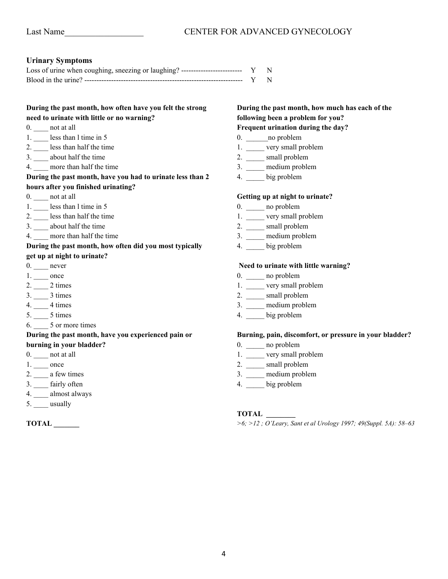### **Urinary Symptoms**

| Loss of urine when coughing, sneezing or laughing? ----------------------------- $Y \tN$ |  |
|------------------------------------------------------------------------------------------|--|
|                                                                                          |  |

## **During the past month, how often have you felt the strong need to urinate with little or no warning?**

- 0. **not at all**
- 1. \_\_\_\_ less than l time in 5
- 2. \_\_\_\_ less than half the time
- 3. \_\_\_\_ about half the time
- 4. more than half the time

### **During the past month, have you had to urinate less than 2 hours after you finished urinating?**

- 0. \_\_\_\_ not at all
- 1. Less than 1 time in 5
- 2. \_\_\_\_ less than half the time
- 3. \_\_\_\_ about half the time
- 4. more than half the time

### **During the past month, how often did you most typically get up at night to urinate?**

- 0. \_\_\_\_ never
- 1. \_\_\_\_\_ once
- $2.$   $\_\_\_\_\_2$  2 times
- 3. \_\_\_\_ 3 times
- 4. \_\_\_\_ 4 times
- 5. \_\_\_\_ 5 times
- 6. \_\_\_\_ 5 or more times

## **During the past month, have you experienced pain or**

- **burning in your bladder?**
- 0. \_\_\_\_\_ not at all
- 1. \_\_\_\_\_ once
- 2. \_\_\_\_ a few times
- 3. \_\_\_\_ fairly often
- 4. \_\_\_\_ almost always
- $5.$  \_\_\_\_ usually

**TOTAL \_\_\_\_\_\_\_**

# **During the past month, how much has each of the following been a problem for you?**

## **Frequent urination during the day?**

- 0. \_\_\_\_\_\_\_no problem
- 1. \_\_\_\_\_ very small problem
- 2. \_\_\_\_\_ small problem
- 3. \_\_\_\_\_ medium problem
- 4. \_\_\_\_\_ big problem

#### **Getting up at night to urinate?**

- 0. \_\_\_\_\_ no problem
- 1. \_\_\_\_\_ very small problem
- 2. \_\_\_\_\_\_ small problem
- 3. \_\_\_\_\_ medium problem
- 4. \_\_\_\_\_ big problem

#### **Need to urinate with little warning?**

- 0. \_\_\_\_\_ no problem
- 1. \_\_\_\_\_ very small problem
- 2. \_\_\_\_\_ small problem
- 3. \_\_\_\_\_ medium problem
- 4. \_\_\_\_\_ big problem

#### **Burning, pain, discomfort, or pressure in your bladder?**

- 0. \_\_\_\_\_ no problem
- 1. \_\_\_\_\_ very small problem
- 2. \_\_\_\_\_ small problem
- 3. \_\_\_\_\_ medium problem
- 4. \_\_\_\_\_ big problem

### **TOTAL \_\_\_\_\_\_\_\_**

*>6; >12 ; O'Leary, Sant et al Urology 1997; 49(Suppl. 5A): 58–63*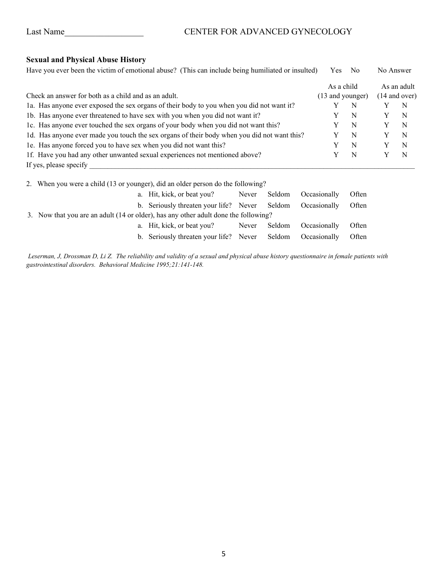# Last Name\_\_\_\_\_\_\_\_\_\_\_\_\_\_\_\_\_\_ CENTER FOR ADVANCED GYNECOLOGY

# **Sexual and Physical Abuse History**

| Have you ever been the victim of emotional abuse? (This can include being humiliated or insulted) | Yes.       | N <sub>o</sub>   | No Answer |                 |  |  |
|---------------------------------------------------------------------------------------------------|------------|------------------|-----------|-----------------|--|--|
|                                                                                                   | As a child |                  |           | As an adult     |  |  |
| Check an answer for both as a child and as an adult.                                              |            | (13 and younger) |           | $(14$ and over) |  |  |
| 1a. Has anyone ever exposed the sex organs of their body to you when you did not want it?         |            | N                |           | N               |  |  |
| 1b. Has anyone ever threatened to have sex with you when you did not want it?                     |            | N                |           | N               |  |  |
| 1c. Has anyone ever touched the sex organs of your body when you did not want this?               |            | N                |           | N               |  |  |
| 1d. Has anyone ever made you touch the sex organs of their body when you did not want this?       |            | N                |           | N               |  |  |
| 1e. Has anyone forced you to have sex when you did not want this?                                 |            | N                |           | N               |  |  |
| 1f. Have you had any other unwanted sexual experiences not mentioned above?                       |            | N                |           | N               |  |  |
| If yes, please specify                                                                            |            |                  |           |                 |  |  |

2. When you were a child (13 or younger), did an older person do the following?

|                                                                                     | a. Hit, kick, or beat you?                                 | Never | Seldom Occasionally       | Often |
|-------------------------------------------------------------------------------------|------------------------------------------------------------|-------|---------------------------|-------|
|                                                                                     | b. Seriously threaten your life? Never Seldom Occasionally |       |                           | Often |
| 3. Now that you are an adult (14 or older), has any other adult done the following? |                                                            |       |                           |       |
|                                                                                     | a. Hit, kick, or beat you?                                 |       | Never Seldom Occasionally | Often |
|                                                                                     | b. Seriously threaten your life? Never Seldom              |       | Occasionally              | Often |

*Leserman, J, Drossman D, Li Z. The reliability and validity of a sexual and physical abuse history questionnaire in female patients with gastrointestinal disorders. Behavioral Medicine 1995;21:141-148.*